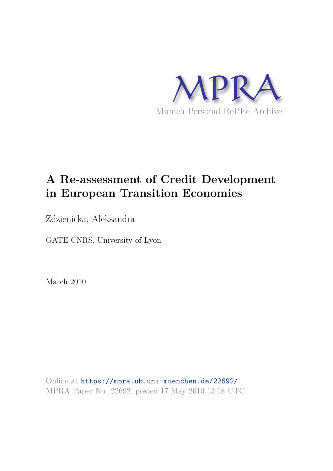

# **A Re-assessment of Credit Development in European Transition Economies**

Zdzienicka, Aleksandra

GATE-CNRS, University of Lyon

March 2010

Online at https://mpra.ub.uni-muenchen.de/22692/ MPRA Paper No. 22692, posted 17 May 2010 13:18 UTC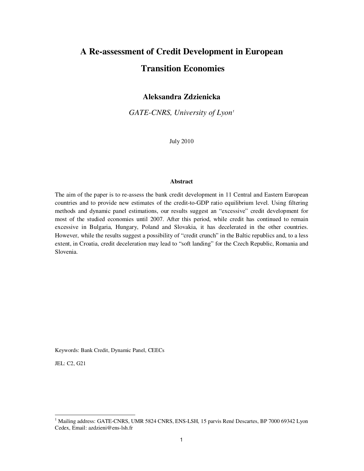# **A Re-assessment of Credit Development in European Transition Economies**

## **Aleksandra Zdzienicka**

GATE-CNRS, University of Lyon<sup>1</sup>

July 2010

## **Abstract**

The aim of the paper is to re-assess the bank credit development in 11 Central and Eastern European countries and to provide new estimates of the credit-to-GDP ratio equilibrium level. Using filtering methods and dynamic panel estimations, our results suggest an "excessive" credit development for most of the studied economies until 2007. After this period, while credit has continued to remain excessive in Bulgaria, Hungary, Poland and Slovakia, it has decelerated in the other countries. However, while the results suggest a possibility of "credit crunch" in the Baltic republics and, to a less extent, in Croatia, credit deceleration may lead to "soft landing" for the Czech Republic, Romania and Slovenia.

Keywords: Bank Credit, Dynamic Panel, CEECs

JEL: C2, G21

1

<sup>&</sup>lt;sup>1</sup> Mailing address: GATE-CNRS, UMR 5824 CNRS, ENS-LSH, 15 parvis René Descartes, BP 7000 69342 Lyon Cedex, Email: azdzieni@ens-lsh.fr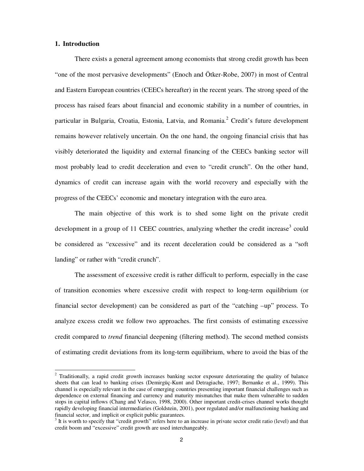### **1. Introduction**

j

There exists a general agreement among economists that strong credit growth has been "one of the most pervasive developments" (Enoch and Ötker-Robe, 2007) in most of Central and Eastern European countries (CEECs hereafter) in the recent years. The strong speed of the process has raised fears about financial and economic stability in a number of countries, in particular in Bulgaria, Croatia, Estonia, Latvia, and Romania.<sup>2</sup> Credit's future development remains however relatively uncertain. On the one hand, the ongoing financial crisis that has visibly deteriorated the liquidity and external financing of the CEECs banking sector will most probably lead to credit deceleration and even to "credit crunch". On the other hand, dynamics of credit can increase again with the world recovery and especially with the progress of the CEECs' economic and monetary integration with the euro area.

The main objective of this work is to shed some light on the private credit development in a group of 11 CEEC countries, analyzing whether the credit increase<sup>3</sup> could be considered as "excessive" and its recent deceleration could be considered as a "soft landing" or rather with "credit crunch".

The assessment of excessive credit is rather difficult to perform, especially in the case of transition economies where excessive credit with respect to long-term equilibrium (or financial sector development) can be considered as part of the "catching –up" process. To analyze excess credit we follow two approaches. The first consists of estimating excessive credit compared to *trend* financial deepening (filtering method). The second method consists of estimating credit deviations from its long-term equilibrium, where to avoid the bias of the

<sup>&</sup>lt;sup>2</sup> Traditionally, a rapid credit growth increases banking sector exposure deteriorating the quality of balance sheets that can lead to banking crises (Demirgüç-Kunt and Detragiache, 1997; Bernanke et al., 1999). This channel is especially relevant in the case of emerging countries presenting important financial challenges such as dependence on external financing and currency and maturity mismatches that make them vulnerable to sudden stops in capital inflows (Chang and Velasco, 1998, 2000). Other important credit-crises channel works thought rapidly developing financial intermediaries (Goldstein, 2001), poor regulated and/or malfunctioning banking and financial sector, and implicit or explicit public guarantees.

 $3$  It is worth to specify that "credit growth" refers here to an increase in private sector credit ratio (level) and that credit boom and "excessive" credit growth are used interchangeably.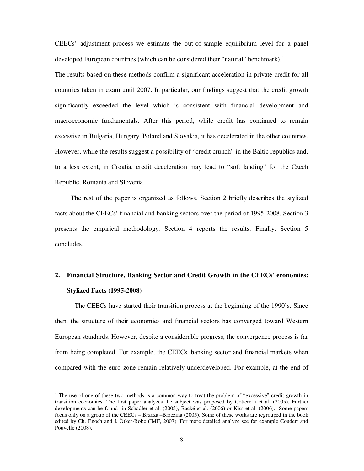CEECs' adjustment process we estimate the out-of-sample equilibrium level for a panel developed European countries (which can be considered their "natural" benchmark).<sup>4</sup>

The results based on these methods confirm a significant acceleration in private credit for all countries taken in exam until 2007. In particular, our findings suggest that the credit growth significantly exceeded the level which is consistent with financial development and macroeconomic fundamentals. After this period, while credit has continued to remain excessive in Bulgaria, Hungary, Poland and Slovakia, it has decelerated in the other countries. However, while the results suggest a possibility of "credit crunch" in the Baltic republics and, to a less extent, in Croatia, credit deceleration may lead to "soft landing" for the Czech Republic, Romania and Slovenia.

The rest of the paper is organized as follows. Section 2 briefly describes the stylized facts about the CEECs' financial and banking sectors over the period of 1995-2008. Section 3 presents the empirical methodology. Section 4 reports the results. Finally, Section 5 concludes.

## **2. Financial Structure, Banking Sector and Credit Growth in the CEECs' economies: Stylized Facts (1995-2008)**

The CEECs have started their transition process at the beginning of the 1990's. Since then, the structure of their economies and financial sectors has converged toward Western European standards. However, despite a considerable progress, the convergence process is far from being completed. For example, the CEECs' banking sector and financial markets when compared with the euro zone remain relatively underdeveloped. For example, at the end of

j

<sup>&</sup>lt;sup>4</sup> The use of one of these two methods is a common way to treat the problem of "excessive" credit growth in transition economies. The first paper analyzes the subject was proposed by Cotterelli et al. (2005). Further developments can be found in Schadler et al. (2005), Backé et al. (2006) or Kiss et al. (2006). Some papers focus only on a group of the CEECs – Brzoza –Brzezina (2005). Some of these works are regrouped in the book edited by Ch. Enoch and I. Ötker-Robe (IMF, 2007). For more detailed analyze see for example Coudert and Pouvelle (2008).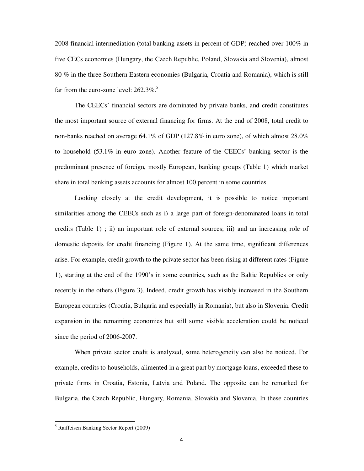2008 financial intermediation (total banking assets in percent of GDP) reached over 100% in five CECs economies (Hungary, the Czech Republic, Poland, Slovakia and Slovenia), almost 80 % in the three Southern Eastern economies (Bulgaria, Croatia and Romania), which is still far from the euro-zone level:  $262.3\%$ .<sup>5</sup>

The CEECs' financial sectors are dominated by private banks, and credit constitutes the most important source of external financing for firms. At the end of 2008, total credit to non-banks reached on average 64.1% of GDP (127.8% in euro zone), of which almost 28.0% to household (53.1% in euro zone). Another feature of the CEECs' banking sector is the predominant presence of foreign, mostly European, banking groups (Table 1) which market share in total banking assets accounts for almost 100 percent in some countries.

Looking closely at the credit development, it is possible to notice important similarities among the CEECs such as i) a large part of foreign-denominated loans in total credits (Table 1) ; ii) an important role of external sources; iii) and an increasing role of domestic deposits for credit financing (Figure 1). At the same time, significant differences arise. For example, credit growth to the private sector has been rising at different rates (Figure 1), starting at the end of the 1990's in some countries, such as the Baltic Republics or only recently in the others (Figure 3). Indeed, credit growth has visibly increased in the Southern European countries (Croatia, Bulgaria and especially in Romania), but also in Slovenia. Credit expansion in the remaining economies but still some visible acceleration could be noticed since the period of 2006-2007.

When private sector credit is analyzed, some heterogeneity can also be noticed. For example, credits to households, alimented in a great part by mortgage loans, exceeded these to private firms in Croatia, Estonia, Latvia and Poland. The opposite can be remarked for Bulgaria, the Czech Republic, Hungary, Romania, Slovakia and Slovenia. In these countries

j

<sup>5</sup> Raiffeisen Banking Sector Report (2009)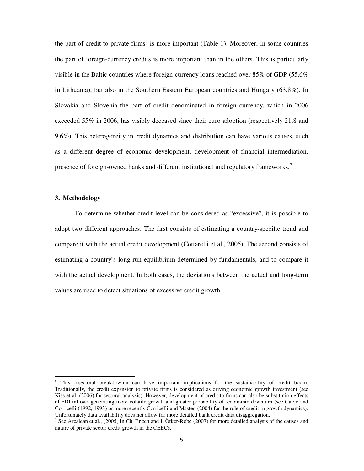the part of credit to private firms<sup>6</sup> is more important (Table 1). Moreover, in some countries the part of foreign-currency credits is more important than in the others. This is particularly visible in the Baltic countries where foreign-currency loans reached over 85% of GDP (55.6% in Lithuania), but also in the Southern Eastern European countries and Hungary (63.8%). In Slovakia and Slovenia the part of credit denominated in foreign currency, which in 2006 exceeded 55% in 2006, has visibly deceased since their euro adoption (respectively 21.8 and 9.6%). This heterogeneity in credit dynamics and distribution can have various causes, such as a different degree of economic development, development of financial intermediation, presence of foreign-owned banks and different institutional and regulatory frameworks.<sup>7</sup>

### **3. Methodology**

j

To determine whether credit level can be considered as "excessive", it is possible to adopt two different approaches. The first consists of estimating a country-specific trend and compare it with the actual credit development (Cottarelli et al., 2005). The second consists of estimating a country's long-run equilibrium determined by fundamentals, and to compare it with the actual development. In both cases, the deviations between the actual and long-term values are used to detect situations of excessive credit growth.

<sup>&</sup>lt;sup>6</sup> This « sectoral breakdown » can have important implications for the sustainability of credit boom. Traditionally, the credit expansion to private firms is considered as driving economic growth investment (see Kiss et al. (2006) for sectoral analysis). However, development of credit to firms can also be substitution effects of FDI inflows generating more volatile growth and greater probability of economic downturn (see Calvo and Corricelli (1992, 1993) or more recently Corricelli and Masten (2004) for the role of credit in growth dynamics). Unfortunately data availability does not allow for more detailed bank credit data disaggregation.

<sup>&</sup>lt;sup>7</sup> See Arcalean et al., (2005) in Ch. Enoch and I. Ötker-Robe (2007) for more detailed analysis of the causes and nature of private sector credit growth in the CEECs.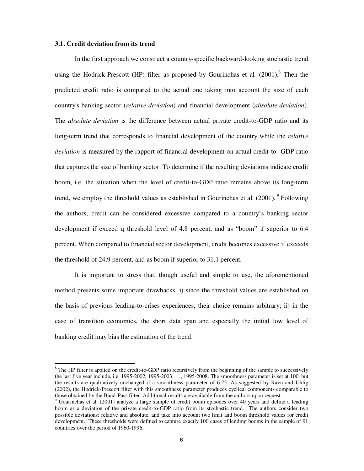## **3.1. Credit deviation from its trend**

j

In the first approach we construct a country-specific backward-looking stochastic trend using the Hodrick-Prescott (HP) filter as proposed by Gourinchas et al. (2001).<sup>8</sup> Then the predicted credit ratio is compared to the actual one taking into account the size of each country's banking sector (*relative deviation*) and financial development (*absolute deviation*). The *absolute deviation* is the difference between actual private credit-to-GDP ratio and its long-term trend that corresponds to financial development of the country while the *relative deviation* is measured by the rapport of financial development on actual credit-to- GDP ratio that captures the size of banking sector. To determine if the resulting deviations indicate credit boom, i.e. the situation when the level of credit-to-GDP ratio remains above its long-term trend, we employ the threshold values as established in Gourinchas et al.  $(2001)$ . <sup>9</sup>Following the authors, credit can be considered excessive compared to a country's banking sector development if exceed q threshold level of 4.8 percent, and as "boom" if superior to 6.4 percent. When compared to financial sector development, credit becomes excessive if exceeds the threshold of 24.9 percent, and as boom if superior to 31.1 percent.

It is important to stress that, though useful and simple to use, the aforementioned method presents some important drawbacks: i) since the threshold values are established on the basis of previous leading-to-crises experiences, their choice remains arbitrary; ii) in the case of transition economies, the short data span and especially the initial low level of banking credit may bias the estimation of the trend.

 $8$  The HP filter is applied on the credit-to-GDP ratio recursively from the beginning of the sample to successively the last five year include, i.e. 1995-2002, 1995-2003, …, 1995-2008. The smoothness parameter is set at 100, but the results are qualitatively unchanged if a smoothness parameter of 6.25. As suggested by Ravn and Uhlig (2002), the Hodrick-Prescott filter with this smoothness parameter produces cyclical components comparable to those obtained by the Band-Pass filter. Additional results are available from the authors upon request.

<sup>&</sup>lt;sup>9</sup> Gourinchas et al. (2001) analyze a large sample of credit boom episodes over 40 years and define a leading boom as a deviation of the private credit-to-GDP ratio from its stochastic trend. The authors consider two possible deviations: relative and absolute, and take into account two limit and boom threshold values for credit development. These thresholds were defined to capture exactly 100 cases of lending booms in the sample of 91 countries over the period of 1960-1996.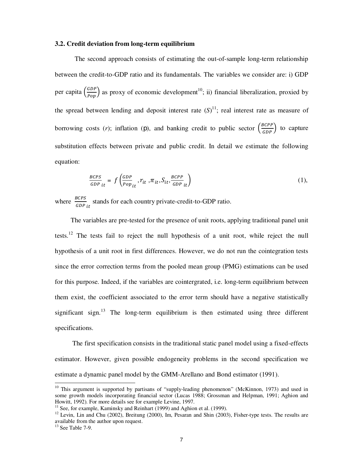#### **3.2. Credit deviation from long-term equilibrium**

The second approach consists of estimating the out-of-sample long-term relationship between the credit-to-GDP ratio and its fundamentals. The variables we consider are: i) GDP per capita  $\left(\frac{GDP}{Pop}\right)$  as proxy of economic development<sup>10</sup>; ii) financial liberalization, proxied by the spread between lending and deposit interest rate  $(S)^{11}$ ; real interest rate as measure of borrowing costs (*r*); inflation ( ), and banking credit to public sector  $\left(\frac{BCPP}{GDP}\right)$  to capture substitution effects between private and public credit. In detail we estimate the following equation:

$$
\frac{BCPS}{GDP}_{it} = f\left(\frac{GDP}{Pop}_{it}, r_{it}, \pi_{it}, S_{it}, \frac{BCPP}{GDP}_{it}\right) \tag{1},
$$

where  $rac{BCPS}{SDR}$ GDP it stands for each country private-credit-to-GDP ratio.

The variables are pre-tested for the presence of unit roots, applying traditional panel unit tests.<sup>12</sup> The tests fail to reject the null hypothesis of a unit root, while reject the null hypothesis of a unit root in first differences. However, we do not run the cointegration tests since the error correction terms from the pooled mean group (PMG) estimations can be used for this purpose. Indeed, if the variables are cointergrated, i.e. long-term equilibrium between them exist, the coefficient associated to the error term should have a negative statistically significant sign.<sup>13</sup> The long-term equilibrium is then estimated using three different specifications.

 The first specification consists in the traditional static panel model using a fixed-effects estimator. However, given possible endogeneity problems in the second specification we estimate a dynamic panel model by the GMM-Arellano and Bond estimator (1991).

j

 $10$  This argument is supported by partisans of "supply-leading phenomenon" (McKinnon, 1973) and used in some growth models incorporating financial sector (Lucas 1988; Grossman and Helpman, 1991; Aghion and Howitt, 1992). For more details see for example Levine, 1997.

<sup>&</sup>lt;sup>11</sup> See, for example, Kaminsky and Reinhart  $(1999)$  and Aghion et al. (1999).

 $12$  Levin, Lin and Chu (2002), Breitung (2000), Im, Pesaran and Shin (2003), Fisher-type tests. The results are available from the author upon request.

 $13$  See Table 7-9.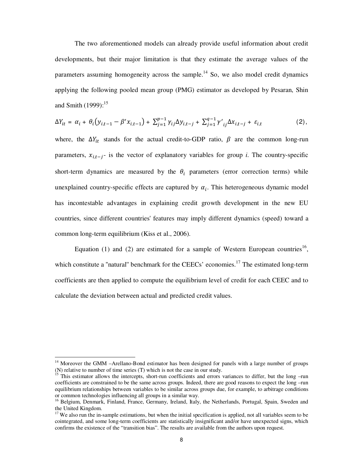The two aforementioned models can already provide useful information about credit developments, but their major limitation is that they estimate the average values of the parameters assuming homogeneity across the sample.<sup>14</sup> So, we also model credit dynamics applying the following pooled mean group (PMG) estimator as developed by Pesaran, Shin and Smith  $(1999)$ :<sup>15</sup>

$$
\Delta Y_{it} = \alpha_i + \theta_i (y_{i,t-1} - \beta' x_{i,t-1}) + \sum_{j=1}^{p-1} \gamma_{ij} \Delta y_{i,t-j} + \sum_{j=1}^{q-1} \gamma'_{ij} \Delta x_{i,t-j} + \varepsilon_{i,t}
$$
 (2),

where, the  $\Delta Y_{it}$  stands for the actual credit-to-GDP ratio,  $\beta$  are the common long-run parameters,  $x_{i,t-i}$ - is the vector of explanatory variables for group *i*. The country-specific short-term dynamics are measured by the  $\theta_i$  parameters (error correction terms) while unexplained country-specific effects are captured by  $\alpha_i$ . This heterogeneous dynamic model has incontestable advantages in explaining credit growth development in the new EU countries, since different countries' features may imply different dynamics (speed) toward a common long-term equilibrium (Kiss et al., 2006).

Equation (1) and (2) are estimated for a sample of Western European countries<sup>16</sup>, which constitute a "natural" benchmark for the CEECs' economies.<sup>17</sup> The estimated long-term coefficients are then applied to compute the equilibrium level of credit for each CEEC and to calculate the deviation between actual and predicted credit values.

j

<sup>&</sup>lt;sup>14</sup> Moreover the GMM –Arellano-Bond estimator has been designed for panels with a large number of groups (N) relative to number of time series  $(T)$  which is not the case in our study.

This estimator allows the intercepts, short-run coefficients and errors variances to differ, but the long -run coefficients are constrained to be the same across groups. Indeed, there are good reasons to expect the long –run equilibrium relationships between variables to be similar across groups due, for example, to arbitrage conditions or common technologies influencing all groups in a similar way.

<sup>&</sup>lt;sup>16</sup> Belgium, Denmark, Finland, France, Germany, Ireland, Italy, the Netherlands, Portugal, Spain, Sweden and the United Kingdom.

 $17$  We also run the in-sample estimations, but when the initial specification is applied, not all variables seem to be cointegrated, and some long-term coefficients are statistically insignificant and/or have unexpected signs, which confirms the existence of the "transition bias". The results are available from the authors upon request.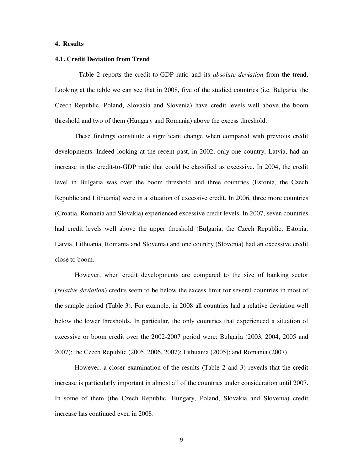#### **4. Results**

#### **4.1. Credit Deviation from Trend**

Table 2 reports the credit-to-GDP ratio and its *absolute deviation* from the trend. Looking at the table we can see that in 2008, five of the studied countries (i.e. Bulgaria, the Czech Republic, Poland, Slovakia and Slovenia) have credit levels well above the boom threshold and two of them (Hungary and Romania) above the excess threshold.

These findings constitute a significant change when compared with previous credit developments. Indeed looking at the recent past, in 2002, only one country, Latvia, had an increase in the credit-to-GDP ratio that could be classified as excessive. In 2004, the credit level in Bulgaria was over the boom threshold and three countries (Estonia, the Czech Republic and Lithuania) were in a situation of excessive credit. In 2006, three more countries (Croatia, Romania and Slovakia) experienced excessive credit levels. In 2007, seven countries had credit levels well above the upper threshold (Bulgaria, the Czech Republic, Estonia, Latvia, Lithuania, Romania and Slovenia) and one country (Slovenia) had an excessive credit close to boom.

However, when credit developments are compared to the size of banking sector (*relative deviation*) credits seem to be below the excess limit for several countries in most of the sample period (Table 3). For example, in 2008 all countries had a relative deviation well below the lower thresholds. In particular, the only countries that experienced a situation of excessive or boom credit over the 2002-2007 period were: Bulgaria (2003, 2004, 2005 and 2007); the Czech Republic (2005, 2006, 2007); Lithuania (2005); and Romania (2007).

However, a closer examination of the results (Table 2 and 3) reveals that the credit increase is particularly important in almost all of the countries under consideration until 2007. In some of them (the Czech Republic, Hungary, Poland, Slovakia and Slovenia) credit increase has continued even in 2008.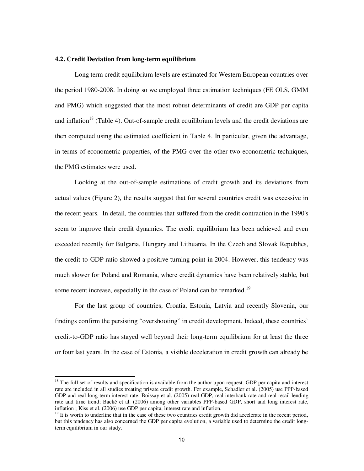#### **4.2. Credit Deviation from long-term equilibrium**

Long term credit equilibrium levels are estimated for Western European countries over the period 1980-2008. In doing so we employed three estimation techniques (FE OLS, GMM and PMG) which suggested that the most robust determinants of credit are GDP per capita and inflation<sup>18</sup> (Table 4). Out-of-sample credit equilibrium levels and the credit deviations are then computed using the estimated coefficient in Table 4. In particular, given the advantage, in terms of econometric properties, of the PMG over the other two econometric techniques, the PMG estimates were used.

Looking at the out-of-sample estimations of credit growth and its deviations from actual values (Figure 2), the results suggest that for several countries credit was excessive in the recent years. In detail, the countries that suffered from the credit contraction in the 1990's seem to improve their credit dynamics. The credit equilibrium has been achieved and even exceeded recently for Bulgaria, Hungary and Lithuania. In the Czech and Slovak Republics, the credit-to-GDP ratio showed a positive turning point in 2004. However, this tendency was much slower for Poland and Romania, where credit dynamics have been relatively stable, but some recent increase, especially in the case of Poland can be remarked.<sup>19</sup>

For the last group of countries, Croatia, Estonia, Latvia and recently Slovenia, our findings confirm the persisting "overshooting" in credit development. Indeed, these countries' credit-to-GDP ratio has stayed well beyond their long-term equilibrium for at least the three or four last years. In the case of Estonia, a visible deceleration in credit growth can already be

j

 $18$  The full set of results and specification is available from the author upon request. GDP per capita and interest rate are included in all studies treating private credit growth. For example, Schadler et al. (2005) use PPP-based GDP and real long-term interest rate; Boissay et al. (2005) real GDP, real interbank rate and real retail lending rate and time trend; Backé et al. (2006) among other variables PPP-based GDP, short and long interest rate, inflation ; Kiss et al. (2006) use GDP per capita, interest rate and inflation.

 $19$  It is worth to underline that in the case of these two countries credit growth did accelerate in the recent period, but this tendency has also concerned the GDP per capita evolution, a variable used to determine the credit longterm equilibrium in our study.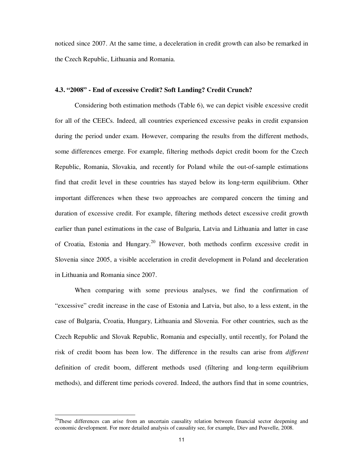noticed since 2007. At the same time, a deceleration in credit growth can also be remarked in the Czech Republic, Lithuania and Romania.

## **4.3. "2008" - End of excessive Credit? Soft Landing? Credit Crunch?**

Considering both estimation methods (Table 6), we can depict visible excessive credit for all of the CEECs. Indeed, all countries experienced excessive peaks in credit expansion during the period under exam. However, comparing the results from the different methods, some differences emerge. For example, filtering methods depict credit boom for the Czech Republic, Romania, Slovakia, and recently for Poland while the out-of-sample estimations find that credit level in these countries has stayed below its long-term equilibrium. Other important differences when these two approaches are compared concern the timing and duration of excessive credit. For example, filtering methods detect excessive credit growth earlier than panel estimations in the case of Bulgaria, Latvia and Lithuania and latter in case of Croatia, Estonia and Hungary.<sup>20</sup> However, both methods confirm excessive credit in Slovenia since 2005, a visible acceleration in credit development in Poland and deceleration in Lithuania and Romania since 2007.

When comparing with some previous analyses, we find the confirmation of "excessive" credit increase in the case of Estonia and Latvia, but also, to a less extent, in the case of Bulgaria, Croatia, Hungary, Lithuania and Slovenia. For other countries, such as the Czech Republic and Slovak Republic, Romania and especially, until recently, for Poland the risk of credit boom has been low. The difference in the results can arise from *different* definition of credit boom, different methods used (filtering and long-term equilibrium methods), and different time periods covered. Indeed, the authors find that in some countries,

1

 $20$ These differences can arise from an uncertain causality relation between financial sector deepening and economic development. For more detailed analysis of causality see, for example, Diev and Pouvelle, 2008.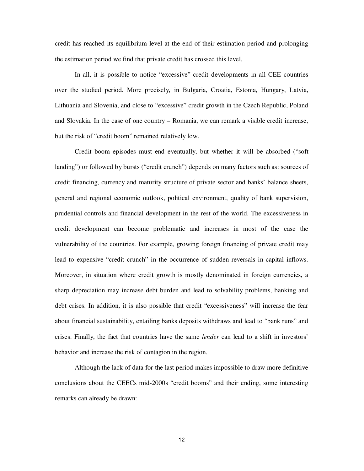credit has reached its equilibrium level at the end of their estimation period and prolonging the estimation period we find that private credit has crossed this level.

In all, it is possible to notice "excessive" credit developments in all CEE countries over the studied period. More precisely, in Bulgaria, Croatia, Estonia, Hungary, Latvia, Lithuania and Slovenia, and close to "excessive" credit growth in the Czech Republic, Poland and Slovakia. In the case of one country – Romania, we can remark a visible credit increase, but the risk of "credit boom" remained relatively low.

Credit boom episodes must end eventually, but whether it will be absorbed ("soft landing") or followed by bursts ("credit crunch") depends on many factors such as: sources of credit financing, currency and maturity structure of private sector and banks' balance sheets, general and regional economic outlook, political environment, quality of bank supervision, prudential controls and financial development in the rest of the world. The excessiveness in credit development can become problematic and increases in most of the case the vulnerability of the countries. For example, growing foreign financing of private credit may lead to expensive "credit crunch" in the occurrence of sudden reversals in capital inflows. Moreover, in situation where credit growth is mostly denominated in foreign currencies, a sharp depreciation may increase debt burden and lead to solvability problems, banking and debt crises. In addition, it is also possible that credit "excessiveness" will increase the fear about financial sustainability, entailing banks deposits withdraws and lead to "bank runs" and crises. Finally, the fact that countries have the same *lender* can lead to a shift in investors' behavior and increase the risk of contagion in the region.

Although the lack of data for the last period makes impossible to draw more definitive conclusions about the CEECs mid-2000s "credit booms" and their ending, some interesting remarks can already be drawn: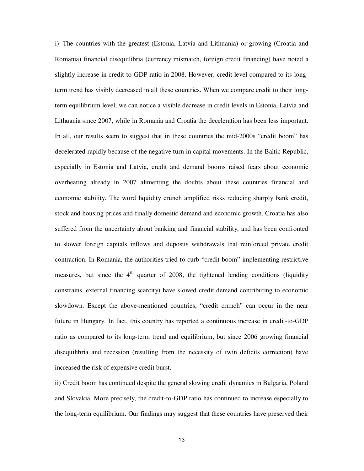i) The countries with the greatest (Estonia, Latvia and Lithuania) or growing (Croatia and Romania) financial disequilibria (currency mismatch, foreign credit financing) have noted a slightly increase in credit-to-GDP ratio in 2008. However, credit level compared to its longterm trend has visibly decreased in all these countries. When we compare credit to their longterm equilibrium level, we can notice a visible decrease in credit levels in Estonia, Latvia and Lithuania since 2007, while in Romania and Croatia the deceleration has been less important. In all, our results seem to suggest that in these countries the mid-2000s "credit boom" has decelerated rapidly because of the negative turn in capital movements. In the Baltic Republic, especially in Estonia and Latvia, credit and demand booms raised fears about economic overheating already in 2007 alimenting the doubts about these countries financial and economic stability. The word liquidity crunch amplified risks reducing sharply bank credit, stock and housing prices and finally domestic demand and economic growth. Croatia has also suffered from the uncertainty about banking and financial stability, and has been confronted to slower foreign capitals inflows and deposits withdrawals that reinforced private credit contraction. In Romania, the authorities tried to curb "credit boom" implementing restrictive measures, but since the  $4<sup>th</sup>$  quarter of 2008, the tightened lending conditions (liquidity constrains, external financing scarcity) have slowed credit demand contributing to economic slowdown. Except the above-mentioned countries, "credit crunch" can occur in the near future in Hungary. In fact, this country has reported a continuous increase in credit-to-GDP ratio as compared to its long-term trend and equilibrium, but since 2006 growing financial disequilibria and recession (resulting from the necessity of twin deficits correction) have increased the risk of expensive credit burst.

ii) Credit boom has continued despite the general slowing credit dynamics in Bulgaria, Poland and Slovakia. More precisely, the credit-to-GDP ratio has continued to increase especially to the long-term equilibrium. Our findings may suggest that these countries have preserved their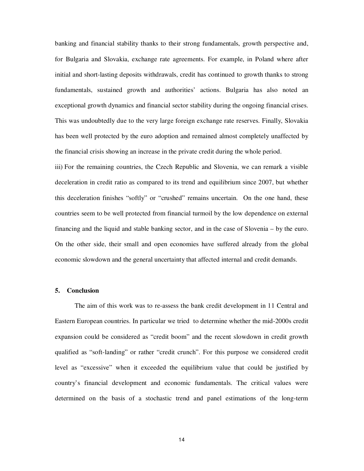banking and financial stability thanks to their strong fundamentals, growth perspective and, for Bulgaria and Slovakia, exchange rate agreements. For example, in Poland where after initial and short-lasting deposits withdrawals, credit has continued to growth thanks to strong fundamentals, sustained growth and authorities' actions. Bulgaria has also noted an exceptional growth dynamics and financial sector stability during the ongoing financial crises. This was undoubtedly due to the very large foreign exchange rate reserves. Finally, Slovakia has been well protected by the euro adoption and remained almost completely unaffected by the financial crisis showing an increase in the private credit during the whole period.

iii) For the remaining countries, the Czech Republic and Slovenia, we can remark a visible deceleration in credit ratio as compared to its trend and equilibrium since 2007, but whether this deceleration finishes "softly" or "crushed" remains uncertain. On the one hand, these countries seem to be well protected from financial turmoil by the low dependence on external financing and the liquid and stable banking sector, and in the case of Slovenia – by the euro. On the other side, their small and open economies have suffered already from the global economic slowdown and the general uncertainty that affected internal and credit demands.

#### **5. Conclusion**

The aim of this work was to re-assess the bank credit development in 11 Central and Eastern European countries. In particular we tried to determine whether the mid-2000s credit expansion could be considered as "credit boom" and the recent slowdown in credit growth qualified as "soft-landing" or rather "credit crunch". For this purpose we considered credit level as "excessive" when it exceeded the equilibrium value that could be justified by country's financial development and economic fundamentals. The critical values were determined on the basis of a stochastic trend and panel estimations of the long-term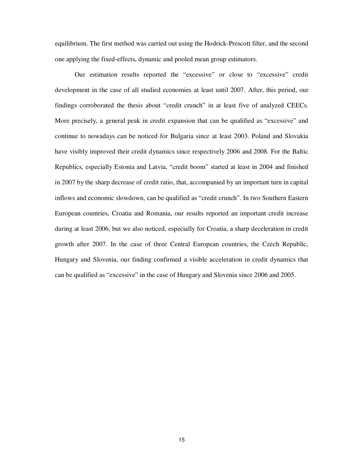equilibrium. The first method was carried out using the Hodrick-Prescott filter, and the second one applying the fixed-effects, dynamic and pooled mean group estimators.

Our estimation results reported the "excessive" or close to "excessive" credit development in the case of all studied economies at least until 2007. After, this period, our findings corroborated the thesis about "credit crunch" in at least five of analyzed CEECs. More precisely, a general peak in credit expansion that can be qualified as "excessive" and continue to nowadays can be noticed for Bulgaria since at least 2003. Poland and Slovakia have visibly improved their credit dynamics since respectively 2006 and 2008. For the Baltic Republics, especially Estonia and Latvia, "credit boom" started at least in 2004 and finished in 2007 by the sharp decrease of credit ratio, that, accompanied by an important turn in capital inflows and economic slowdown, can be qualified as "credit crunch". In two Southern Eastern European countries, Croatia and Romania, our results reported an important credit increase during at least 2006, but we also noticed, especially for Croatia, a sharp deceleration in credit growth after 2007. In the case of three Central European countries, the Czech Republic, Hungary and Slovenia, our finding confirmed a visible acceleration in credit dynamics that can be qualified as "excessive" in the case of Hungary and Slovenia since 2006 and 2005.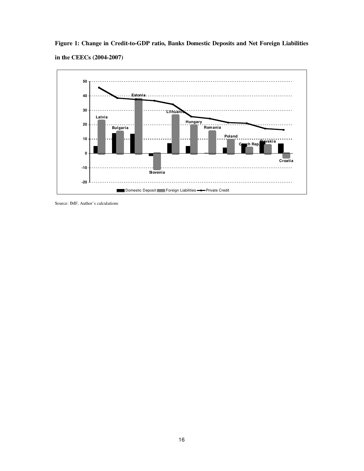**Figure 1: Change in Credit-to-GDP ratio, Banks Domestic Deposits and Net Foreign Liabilities in the CEECs (2004-2007)** 



Source: IMF, Author's calculations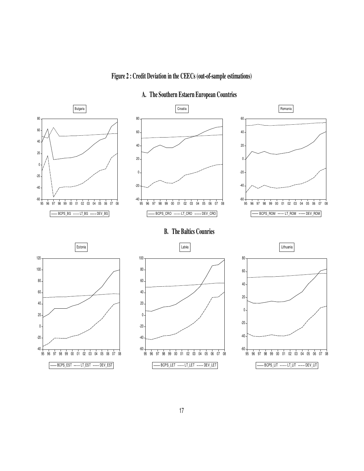

**Figure 2 : Credit Deviation in the CEECs (out-of-sample estimations)** 

17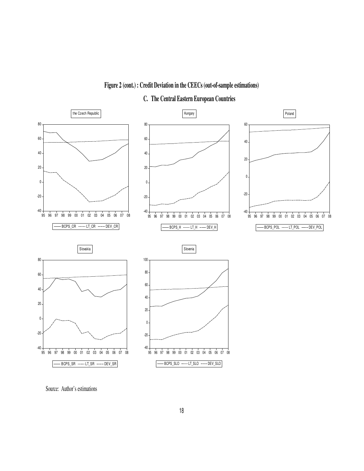

**Figure 2 (cont.) : Credit Deviation in the CEECs (out-of-sample estimations)** 

**C. The Central Eastern European Countries** 

Source: Author's estimations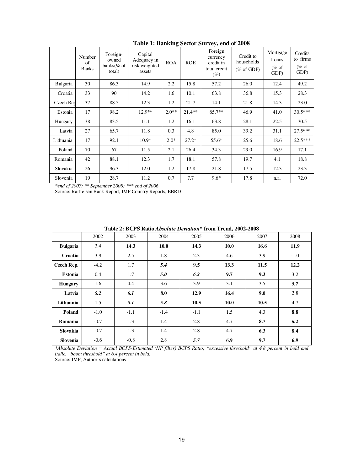|                 | Number<br>of<br><b>Banks</b> | Foreign-<br>owned<br>banks $%$ of<br>total) | Capital<br>Adequacy in<br>risk weighted<br>assets | <b>ROA</b> | <b>ROE</b> | Foreign<br>currency<br>credit in<br>total credit<br>(%) | Credit to<br>households<br>$(\% \text{ of GDP})$ | Mortgage<br>Loans<br>$(\%$ of<br>GDP) | Credits<br>to firms<br>$%$ of<br>GDP) |
|-----------------|------------------------------|---------------------------------------------|---------------------------------------------------|------------|------------|---------------------------------------------------------|--------------------------------------------------|---------------------------------------|---------------------------------------|
| <b>Bulgaria</b> | 30                           | 86.3                                        | 14.9                                              | 2.2        | 15.8       | 57.2                                                    | 26.0                                             | 12.4                                  | 49.2                                  |
| Croatia         | 33                           | 90                                          | 14.2                                              | 1.6        | 10.1       | 63.8                                                    | 36.8                                             | 15.3                                  | 28.3                                  |
| Czech Rep       | 37                           | 88.5                                        | 12.3                                              | 1.2        | 21.7       | 14.1                                                    | 21.8                                             | 14.3                                  | 23.0                                  |
| Estonia         | 17                           | 98.2                                        | $12.9**$                                          | $2.0**$    | $21.4**$   | $85.7**$                                                | 46.9                                             | 41.0                                  | $30.5***$                             |
| Hungary         | 38                           | 83.5                                        | 11.1                                              | 1.2        | 16.1       | 63.8                                                    | 28.1                                             | 22.5                                  | 30.5                                  |
| Latvia          | 27                           | 65.7                                        | 11.8                                              | 0.3        | 4.8        | 85.0                                                    | 39.2                                             | 31.1                                  | $27.5***$                             |
| Lithuania       | 17                           | 92.1                                        | $10.9*$                                           | $2.0*$     | $27.2*$    | 55.6*                                                   | 25.6                                             | 18.6                                  | $22.5***$                             |
| Poland          | 70                           | 67                                          | 11.5                                              | 2.1        | 26.4       | 34.3                                                    | 29.0                                             | 16.9                                  | 17.1                                  |
| Romania         | 42                           | 88.1                                        | 12.3                                              | 1.7        | 18.1       | 57.8                                                    | 19.7                                             | 4.1                                   | 18.8                                  |
| Slovakia        | 26                           | 96.3                                        | 12.0                                              | 1.2        | 17.8       | 21.8                                                    | 17.5                                             | 12.3                                  | 23.3                                  |
| Slovenia        | 19                           | 28.7                                        | 11.2                                              | 0.7        | 7.7        | $9.6*$                                                  | 17.8                                             | n.a.                                  | 72.0                                  |

**Table 1: Banking Sector Survey, end of 2008** 

*\*end of 2007; \*\* September 2008; \*\*\* end of 2006*

Source: Raiffeisen Bank Report, IMF Country Reports, EBRD

**Table 2: BCPS Ratio** *Absolute Deviation***\* from Trend, 2002-2008** 

|                 | 2002   | 2003   | 2004        | 2005   | 2006 | 2007 | 2008   |
|-----------------|--------|--------|-------------|--------|------|------|--------|
| <b>Bulgaria</b> | 3.4    | 14.3   | <b>10.0</b> | 14.3   | 10.0 | 16.6 | 11.9   |
| Croatia         | 3.9    | 2.5    | 1.8         | 2.3    | 4.6  | 3.9  | $-1.0$ |
| Czech Rep.      | $-4.2$ | 1.7    | 5.4         | 9.5    | 13.3 | 11.5 | 12.2   |
| Estonia         | 0.4    | 1.7    | 5.0         | 6.2    | 9.7  | 9.3  | 3.2    |
| <b>Hungary</b>  | 1.6    | 4.4    | 3.6         | 3.9    | 3.1  | 3.5  | 5.7    |
| Latvia          | 5.2    | 6.1    | 8.0         | 12.9   | 16.4 | 9.0  | 2.8    |
| Lithuania       | 1.5    | 5.1    | 5.8         | 10.5   | 10.0 | 10.5 | 4.7    |
| <b>Poland</b>   | $-1.0$ | $-1.1$ | $-1.4$      | $-1.1$ | 1.5  | 4.3  | 8.8    |
| Romania         | $-0.7$ | 1.3    | 1.4         | 2.8    | 4.7  | 8.7  | 6.2    |
| Slovakia        | $-0.7$ | 1.3    | 1.4         | 2.8    | 4.7  | 6.3  | 8.4    |
| Slovenia        | $-0.6$ | $-0.8$ | 2.8         | 5.7    | 6.9  | 9.7  | 6.9    |

*\*Absolute Deviation = Actual BCPS-Estimated (HP filter) BCPS Ratio; "excessive threshold" at 4.8 percent in bold and italic, "boom threshold" at 6.4 percent in bold.* 

Source: IMF, Author's calculations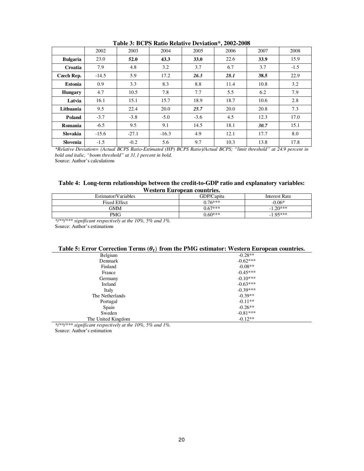|                 | 2002    | 2003    | 2004    | 2005        | 2006 | 2007 | 2008   |
|-----------------|---------|---------|---------|-------------|------|------|--------|
| <b>Bulgaria</b> | 23.0    | 52.0    | 43.3    | <b>33.0</b> | 22.6 | 33.9 | 15.9   |
| Croatia         | 7.9     | 4.8     | 3.2     | 3.7         | 6.7  | 3.7  | $-1.5$ |
| Czech Rep.      | $-14.5$ | 5.9     | 17.2    | 26.3        | 28.1 | 38.5 | 22.9   |
| <b>Estonia</b>  | 0.9     | 3.3     | 8.3     | 8.8         | 11.4 | 10.8 | 3.2    |
| <b>Hungary</b>  | 4.7     | 10.5    | 7.8     | 7.7         | 5.5  | 6.2  | 7.9    |
| Latvia          | 16.1    | 15.1    | 15.7    | 18.9        | 18.7 | 10.6 | 2.8    |
| Lithuania       | 9.5     | 22.4    | 20.0    | 25.7        | 20.0 | 20.8 | 7.3    |
| Poland          | $-3.7$  | $-3.8$  | $-5.0$  | $-3.6$      | 4.5  | 12.3 | 17.0   |
| Romania         | $-6.5$  | 9.5     | 9.1     | 14.5        | 18.1 | 30.7 | 15.1   |
| <b>Slovakia</b> | $-15.6$ | $-27.1$ | $-16.3$ | 4.9         | 12.1 | 17.7 | 8.0    |
| <b>Slovenia</b> | $-1.5$  | $-0.2$  | 5.6     | 9.7         | 10.3 | 13.8 | 17.8   |

**Table 3: BCPS Ratio Relative Deviation\*, 2002-2008** 

*\*Relative Deviation= (Actual BCPS Ratio-Estimated (HP) BCPS Ratio)/Actual BCPS; "limit threshold" at 24.9 percent in bold and italic, "boom threshold" at 31.1 percent in bold.* 

Source: Author's calculations

## **Table 4: Long-term relationships between the credit-to-GDP ratio and explanatory variables: Western European countries.**

|                     | ,, cocon a mai ob can counter itor |               |
|---------------------|------------------------------------|---------------|
| Estimator/Variables | GDP/Capita                         | Interest Rate |
| <b>Fixed Effect</b> | $0.76***$                          | $-0.06*$      |
| GMM                 | $0.67***$                          | $-1.20***$    |
| PMG                 | $0.60***$                          | $-195***$     |

*\*/\*\*/\*\*\* significant respectively at the 10%, 5% and 1%.*  Source: Author's estimations

## Table 5: Error Correction Terms  $(\theta_t)$  from the PMG estimator: Western European countries.

| $\sim$ $\mu$                                                  | -----      |
|---------------------------------------------------------------|------------|
| Belgium                                                       | $-0.28**$  |
| Denmark                                                       | $-0.62***$ |
| Finland                                                       | $-0.08**$  |
| France                                                        | $-0.45***$ |
| Germany                                                       | $-0.10***$ |
| Ireland                                                       | $-0.63***$ |
| Italy                                                         | $-0.39***$ |
| The Netherlands                                               | $-0.39**$  |
| Portugal                                                      | $-0.11**$  |
| Spain                                                         | $-0.26**$  |
| Sweden                                                        | $-0.81***$ |
| The United Kingdom                                            | $-0.12**$  |
| ۰ میلاد میلاد<br>1.1 <sub>0</sub><br>$\cdot$ $\sim$<br>$\sim$ |            |

*\*/\*\*/\*\*\* significant respectively at the 10%, 5% and 1%.* 

Source: Author's estimation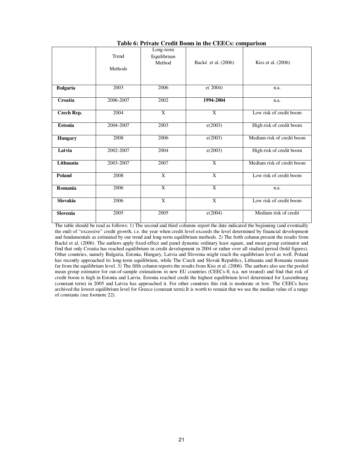|                 | Trend     | Long-term<br>Equilibrium  |                         |                            |
|-----------------|-----------|---------------------------|-------------------------|----------------------------|
|                 | Methods   | Method                    | Backé et al. (2006)     | Kiss et al. (2006)         |
| <b>Bulgaria</b> | 2003      | 2006                      | e(2004)                 | n.a.                       |
| Croatia         | 2006-2007 | 2002                      | 1994-2004               | n.a.                       |
| Czech Rep.      | 2004      | $\overline{X}$            | $\overline{X}$          | Low risk of credit boom    |
| <b>Estonia</b>  | 2004-2007 | 2003                      | e(2003)                 | High risk of credit boom   |
| <b>Hungary</b>  | 2008      | 2006                      | e(2003)                 | Medium risk of credit boom |
| Latvia          | 2002-2007 | 2004                      | e(2003)                 | High risk of credit boom   |
| Lithuania       | 2003-2007 | 2007                      | $\mathbf{x}$            | Medium risk of credit boom |
| <b>Poland</b>   | 2008      | $\overline{\mathbf{x}}$   | $\overline{\mathbf{x}}$ | Low risk of credit boom    |
| Romania         | 2006      | $\mathbf{x}$              | X                       | n.a.                       |
| <b>Slovakia</b> | 2006      | $\boldsymbol{\mathrm{X}}$ | $\mathbf{x}$            | Low risk of credit boom    |
| <b>Slovenia</b> | 2005      | 2005                      | e(2004)                 | Medium risk of credit      |

**Table 6: Private Credit Boom in the CEECs: comparison** 

The table should be read as follows: 1) The second and third columns report the date indicated the beginning (and eventually the end) of "excessive" credit growth, i.e. the year when credit level exceeds the level determined by financial development and fundamentals as estimated by our trend and long-term equilibrium methods. 2) The forth column present the results from Backé et al. (2006). The authors apply fixed-effect and panel dynamic ordinary least square, and mean group estimator and find that only Croatia has reached equilibrium in credit development in 2004 or rather over all studied period (bold figures). Other countries, namely Bulgaria, Estonia, Hungary, Latvia and Slovenia might reach the equilibrium level as well. Poland has recently approached its long-term equilibrium, while The Czech and Slovak Republics, Lithuania and Romania remain far from the equilibrium level. 3) The fifth column reports the results from Kiss et al. (2006). The authors also use the pooled mean group estimator for out-of-sample estimations in new EU countries (CEECs-8; n.a. not treated) and find that risk of credit boom is high in Estonia and Latvia. Estonia reached credit the highest equilibrium level determined for Luxembourg (constant term) in 2005 and Latvia has approached it. For other countries this risk is moderate or low. The CEECs have archived the lowest equilibrium level for Greece (constant term).It is worth to remain that we use the median value of a range of constants (see footnote 22).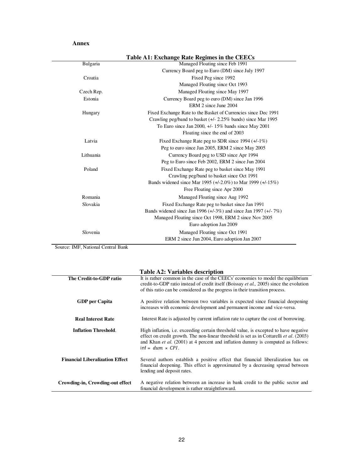## **Annex**

| Table A1: Exchange Rate Regimes in the CEECs                          |
|-----------------------------------------------------------------------|
| Managed Floating since Feb 1991                                       |
| Currency Board peg to Euro (DM) since July 1997                       |
| Fixed Peg since 1992                                                  |
| Managed Floating since Oct 1993                                       |
| Managed Floating since May 1997                                       |
| Currency Board peg to euro (DM) since Jan 1996                        |
| ERM 2 since June 2004                                                 |
| Fixed Exchange Rate to the Basket of Currencies since Dec 1991        |
| Crawling peg/band to basket $(+/- 2.25\%$ bands) since Mar 1995       |
| To Euro since Jan 2000, +/- 15% bands since May 2001                  |
| Floating since the end of 2003                                        |
| Fixed Exchange Rate peg to SDR since 1994 $(+/-1\%)$                  |
| Peg to euro since Jan 2005, ERM 2 since May 2005                      |
| Currency Board peg to USD since Apr 1994                              |
| Peg to Euro since Feb 2002, ERM 2 since Jun 2004                      |
| Fixed Exchange Rate peg to basket since May 1991                      |
| Crawling peg/band to basket since Oct 1991                            |
| Bands widened since Mar 1995 $(+/-2.0\%)$ to Mar 1999 $(+/-15\%)$     |
| Free Floating since Apr 2000                                          |
| Managed Floating since Aug 1992                                       |
| Fixed Exchange Rate peg to basket since Jan 1991                      |
| Bands widened since Jan 1996 $(+/-3\%)$ and since Jan 1997 $(+/-7\%)$ |
| Managed Floating since Oct 1998, ERM 2 since Nov 2005                 |
| Euro adoption Jan 2009                                                |
| Managed Floating since Oct 1991                                       |
| ERM 2 since Jun 2004, Euro adoption Jan 2007                          |
|                                                                       |

Source: IMF, National Central Bank

## **Table A2: Variables description**

|                                        | Table A2: Variables description                                                                                                                                                                                                                                                                                     |
|----------------------------------------|---------------------------------------------------------------------------------------------------------------------------------------------------------------------------------------------------------------------------------------------------------------------------------------------------------------------|
| The Credit-to-GDP ratio                | It is rather common in the case of the CEECs' economies to model the equilibrium<br>credit-to-GDP ratio instead of credit itself (Boissay <i>et al.</i> , 2005) since the evolution                                                                                                                                 |
|                                        | of this ratio can be considered as the progress in their transition process.                                                                                                                                                                                                                                        |
| <b>GDP</b> per Capita                  | A positive relation between two variables is expected since financial deepening<br>increases with economic development and permanent income and vice-versa.                                                                                                                                                         |
| <b>Real Interest Rate</b>              | Interest Rate is adjusted by current inflation rate to capture the cost of borrowing.                                                                                                                                                                                                                               |
| <b>Inflation Threshold.</b>            | High inflation, <i>i.e.</i> exceeding certain threshold value, is excepted to have negative<br>effect on credit growth. The non-linear threshold is set as in Cottarelli <i>et al.</i> (2003)<br>and Khan <i>et al.</i> (2001) at 4 percent and inflation dummy is computed as follows:<br>$int = dum \times CPL$ . |
| <b>Financial Liberalization Effect</b> | Several authors establish a positive effect that financial liberalization has on<br>financial deepening. This effect is approximated by a decreasing spread between<br>lending and deposit rates.                                                                                                                   |
| Crowding-in, Crowding-out effect       | A negative relation between an increase in bank credit to the public sector and<br>financial development is rather straightforward.                                                                                                                                                                                 |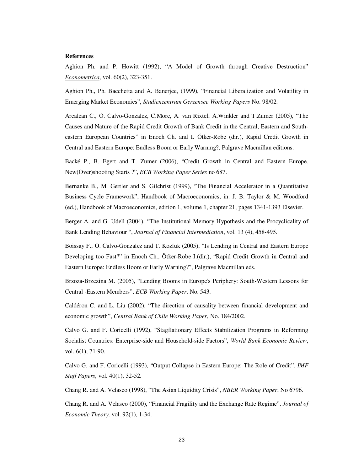#### **References**

Aghion Ph. and P. Howitt (1992), "A Model of Growth through Creative Destruction" *Econometrica*, vol. 60(2), 323-351.

Aghion Ph., Ph. Bacchetta and A. Banerjee, (1999), "Financial Liberalization and Volatility in Emerging Market Economies", *Studienzentrum Gerzensee Working Papers* No. 98/02.

Arcalean C., O. Calvo-Gonzalez, C.More, A. van Rixtel, A.Winkler and T.Zumer (2005), "The Causes and Nature of the Rapid Credit Growth of Bank Credit in the Central, Eastern and Southeastern European Countries" in Enoch Ch. and I. Ötker-Robe (dir.), Rapid Credit Growth in Central and Eastern Europe: Endless Boom or Early Warning?, Palgrave Macmillan editions.

Backé P., B. Egert and T. Zumer (2006), "Credit Growth in Central and Eastern Europe. New(Over)shooting Starts ?", *ECB Working Paper Series* no 687.

Bernanke B., M. Gertler and S. Gilchrist (1999), "The Financial Accelerator in a Quantitative Business Cycle Framework", Handbook of Macroeconomics, in: J. B. Taylor & M. Woodford (ed.), Handbook of Macroeconomics, edition 1, volume 1, chapter 21, pages 1341-1393 Elsevier.

Berger A. and G. Udell (2004), "The Institutional Memory Hypothesis and the Procyclicality of Bank Lending Behaviour ", *Journal of Financial Intermediation*, vol. 13 (4), 458-495.

Boissay F., O. Calvo-Gonzalez and T. Kozluk (2005), "Is Lending in Central and Eastern Europe Developing too Fast?" in Enoch Ch., Ötker-Robe I.(dir.), "Rapid Credit Growth in Central and Eastern Europe: Endless Boom or Early Warning?", Palgrave Macmillan eds.

Brzoza-Brzezina M. (2005), "Lending Booms in Europe's Periphery: South-Western Lessons for Central -Eastern Members", *ECB Working Paper*, No. 543.

Caldéron C. and L. Liu (2002), "The direction of causality between financial development and economic growth", *Central Bank of Chile Working Paper*, No. 184/2002.

Calvo G. and F. Coricelli (1992), "Stagflationary Effects Stabilization Programs in Reforming Socialist Countries: Enterprise-side and Household-side Factors", *World Bank Economic Review*, vol. 6(1), 71-90.

Calvo G. and F. Coricelli (1993), "Output Collapse in Eastern Europe: The Role of Credit", *IMF Staff Papers*, vol. 40(1), 32-52.

Chang R. and A. Velasco (1998), "The Asian Liquidity Crisis", *NBER Working Paper*, No 6796.

Chang R. and A. Velasco (2000), "Financial Fragility and the Exchange Rate Regime", *Journal of Economic Theory,* vol. 92(1), 1-34.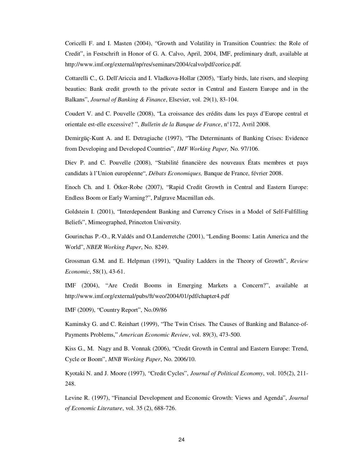Coricelli F. and I. Masten (2004), "Growth and Volatility in Transition Countries: the Role of Credit", in Festschrift in Honor of G. A. Calvo, April, 2004, IMF, preliminary draft, available at http://www.imf.org/external/np/res/seminars/2004/calvo/pdf/corice.pdf.

Cottarelli C., G. Dell'Ariccia and I. Vladkova-Hollar (2005), "Early birds, late risers, and sleeping beauties: Bank credit growth to the private sector in Central and Eastern Europe and in the Balkans", *Journal of Banking & Finance*, Elsevier, vol. 29(1), 83-104.

Coudert V. and C. Pouvelle (2008), "La croissance des crédits dans les pays d'Europe central et orientale est-elle excessive? ", *Bulletin de la Banque de France*, n°172, Avril 2008.

Demirgüç-Kunt A. and E. Detragiache (1997), "The Determinants of Banking Crises: Evidence from Developing and Developed Countries", *IMF Working Paper,* No. 97/106.

Diev P. and C. Pouvelle (2008), "Stabilité financière des nouveaux États membres et pays candidats à l'Union européenne", *Débats Economiques,* Banque de France, février 2008.

Enoch Ch. and I. Ötker-Robe (2007), "Rapid Credit Growth in Central and Eastern Europe: Endless Boom or Early Warning?", Palgrave Macmillan eds.

Goldstein I. (2001), "Interdependent Banking and Currency Crises in a Model of Self-Fulfilling Beliefs", Mimeographed, Princeton University.

Gourinchas P.-O., R.Valdés and O.Landerretche (2001), "Lending Booms: Latin America and the World", *NBER Working Paper*, No. 8249.

Grossman G.M. and E. Helpman (1991), "Quality Ladders in the Theory of Growth", *Review Economic*, 58(1), 43-61.

IMF (2004), "Are Credit Booms in Emerging Markets a Concern?", available at http://www.imf.org/external/pubs/ft/weo/2004/01/pdf/chapter4.pdf

IMF (2009), "Country Report", No.09/86

Kaminsky G. and C. Reinhart (1999), "The Twin Crises. The Causes of Banking and Balance-of-Payments Problems," *American Economic Review*, vol. 89(3), 473-500.

Kiss G., M. Nagy and B. Vonnak (2006), "Credit Growth in Central and Eastern Europe: Trend, Cycle or Boom", *MNB Working Paper*, No. 2006/10.

Kyotaki N. and J. Moore (1997), "Credit Cycles", *Journal of Political Economy*, vol. 105(2), 211- 248.

Levine R. (1997), "Financial Development and Economic Growth: Views and Agenda", *Journal of Economic Literature*, vol. 35 (2), 688-726.